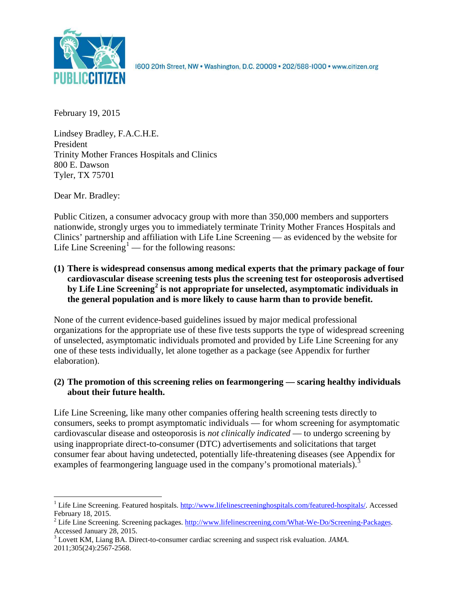

1600 20th Street, NW . Washington, D.C. 20009 . 202/588-1000 . www.citizen.org

February 19, 2015

Lindsey Bradley, F.A.C.H.E. President Trinity Mother Frances Hospitals and Clinics 800 E. Dawson Tyler, TX 75701

Dear Mr. Bradley:

Public Citizen, a consumer advocacy group with more than 350,000 members and supporters nationwide, strongly urges you to immediately terminate Trinity Mother Frances Hospitals and Clinics' partnership and affiliation with Life Line Screening — as evidenced by the website for Life Line Screening<sup>[1](#page-0-0)</sup> — for the following reasons:

**(1) There is widespread consensus among medical experts that the primary package of four cardiovascular disease screening tests plus the screening test for osteoporosis advertised by Life Line Screening[2](#page-0-1) is not appropriate for unselected, asymptomatic individuals in the general population and is more likely to cause harm than to provide benefit.**

None of the current evidence-based guidelines issued by major medical professional organizations for the appropriate use of these five tests supports the type of widespread screening of unselected, asymptomatic individuals promoted and provided by Life Line Screening for any one of these tests individually, let alone together as a package (see Appendix for further elaboration).

# **(2) The promotion of this screening relies on fearmongering — scaring healthy individuals about their future health.**

Life Line Screening, like many other companies offering health screening tests directly to consumers, seeks to prompt asymptomatic individuals — for whom screening for asymptomatic cardiovascular disease and osteoporosis is *not clinically indicated* — to undergo screening by using inappropriate direct-to-consumer (DTC) advertisements and solicitations that target consumer fear about having undetected, potentially life-threatening diseases (see Appendix for examples of fearmongering language used in the company's promotional materials).<sup>[3](#page-0-2)</sup>

<span id="page-0-0"></span><sup>&</sup>lt;sup>1</sup> Life Line Screening. Featured hospitals. [http://www.lifelinescreeninghospitals.com/featured-hospitals/.](http://www.lifelinescreeninghospitals.com/featured-hospitals/) Accessed

<span id="page-0-1"></span>February 18, 2015.<br><sup>2</sup> Life Line Screening. Screening packages. [http://www.lifelinescreening.com/What-We-Do/Screening-Packages.](http://www.lifelinescreening.com/What-We-Do/Screening-Packages)<br>Accessed January 28, 2015.

<span id="page-0-2"></span><sup>&</sup>lt;sup>3</sup> Lovett KM, Liang BA. Direct-to-consumer cardiac screening and suspect risk evaluation. *JAMA*. 2011;305(24):2567-2568.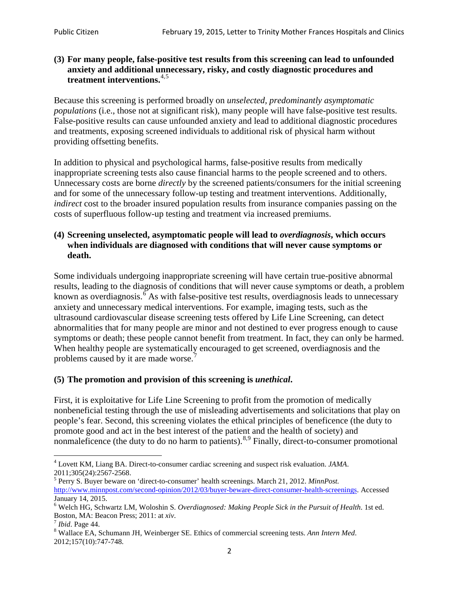# **(3) For many people, false-positive test results from this screening can lead to unfounded anxiety and additional unnecessary, risky, and costly diagnostic procedures and treatment interventions.**[4](#page-1-0),[5](#page-1-1)

Because this screening is performed broadly on *unselected, predominantly asymptomatic populations* (i.e., those not at significant risk), many people will have false**-**positive test results. False-positive results can cause unfounded anxiety and lead to additional diagnostic procedures and treatments, exposing screened individuals to additional risk of physical harm without providing offsetting benefits.

In addition to physical and psychological harms, false-positive results from medically inappropriate screening tests also cause financial harms to the people screened and to others. Unnecessary costs are borne *directly* by the screened patients/consumers for the initial screening and for some of the unnecessary follow-up testing and treatment interventions. Additionally, *indirect* cost to the broader insured population results from insurance companies passing on the costs of superfluous follow-up testing and treatment via increased premiums.

# **(4) Screening unselected, asymptomatic people will lead to** *overdiagnosis***, which occurs when individuals are diagnosed with conditions that will never cause symptoms or death.**

Some individuals undergoing inappropriate screening will have certain true-positive abnormal results, leading to the diagnosis of conditions that will never cause symptoms or death, a problem known as overdiagnosis.<sup>[6](#page-1-2)</sup> As with false-positive test results, overdiagnosis leads to unnecessary anxiety and unnecessary medical interventions. For example, imaging tests, such as the ultrasound cardiovascular disease screening tests offered by Life Line Screening, can detect abnormalities that for many people are minor and not destined to ever progress enough to cause symptoms or death; these people cannot benefit from treatment. In fact, they can only be harmed. When healthy people are systematically encouraged to get screened, overdiagnosis and the problems caused by it are made worse.<sup>[7](#page-1-3)</sup>

# **(5) The promotion and provision of this screening is** *unethical***.**

First, it is exploitative for Life Line Screening to profit from the promotion of medically nonbeneficial testing through the use of misleading advertisements and solicitations that play on people's fear. Second, this screening violates the ethical principles of beneficence (the duty to promote good and act in the best interest of the patient and the health of society) and nonmaleficence (the duty to do no harm to patients).<sup>[8](#page-1-4),[9](#page-1-5)</sup> Finally, direct-to-consumer promotional

<span id="page-1-4"></span>2012;157(10):747-748.

<span id="page-1-5"></span><span id="page-1-0"></span><sup>4</sup> Lovett KM, Liang BA. Direct-to-consumer cardiac screening and suspect risk evaluation. *JAMA*.

<span id="page-1-1"></span><sup>2011;305(24):2567-2568.</sup> <sup>5</sup> Perry S. Buyer beware on 'direct-to-consumer' health screenings. March 21, 2012. *MinnPost.*  [http://www.minnpost.com/second-opinion/2012/03/buyer-beware-direct-consumer-health-screenings.](http://www.minnpost.com/second-opinion/2012/03/buyer-beware-direct-consumer-health-screenings) Accessed January 14, 2015.

<span id="page-1-2"></span><sup>6</sup> Welch HG, Schwartz LM, Woloshin S. *Overdiagnosed: Making People Sick in the Pursuit of Health*. 1st ed. Boston, MA: Beacon Press; 2011: at *xiv*.<br><sup>7</sup> *Ibid*. Page 44.<br><sup>8</sup> Wallace EA, Schumann JH, Weinberger SE. Ethics of commercial screening tests. *Ann Intern Med*.

<span id="page-1-3"></span>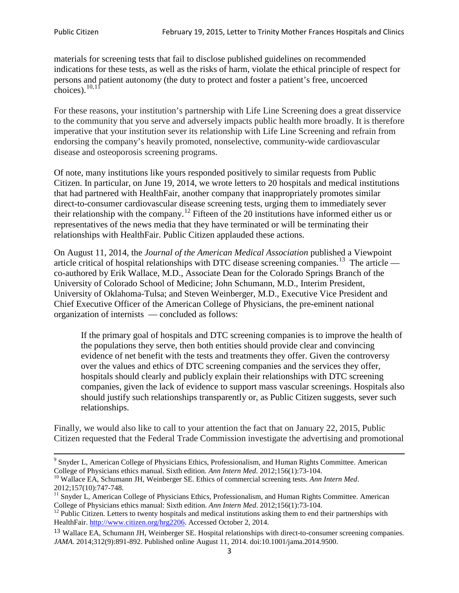materials for screening tests that fail to disclose published guidelines on recommended indications for these tests, as well as the risks of harm, violate the ethical principle of respect for persons and patient autonomy (the duty to protect and foster a patient's free, uncoerced choices). $10,11$  $10,11$ 

For these reasons, your institution's partnership with Life Line Screening does a great disservice to the community that you serve and adversely impacts public health more broadly. It is therefore imperative that your institution sever its relationship with Life Line Screening and refrain from endorsing the company's heavily promoted, nonselective, community**-**wide cardiovascular disease and osteoporosis screening programs.

Of note, many institutions like yours responded positively to similar requests from Public Citizen. In particular, on June 19, 2014, we wrote letters to 20 hospitals and medical institutions that had partnered with HealthFair, another company that inappropriately promotes similar direct-to-consumer cardiovascular disease screening tests, urging them to immediately sever their relationship with the company. [12](#page-2-2) Fifteen of the 20 institutions have informed either us or representatives of the news media that they have terminated or will be terminating their relationships with HealthFair. Public Citizen applauded these actions.

On August 11, 2014, the *Journal of the American Medical Association* published a Viewpoint article critical of hospital relationships with DTC disease screening companies.<sup>13</sup> The article co-authored by Erik Wallace, M.D., Associate Dean for the Colorado Springs Branch of the University of Colorado School of Medicine; John Schumann, M.D., Interim President, University of Oklahoma-Tulsa; and Steven Weinberger, M.D., Executive Vice President and Chief Executive Officer of the American College of Physicians, the pre**-**eminent national organization of internists — concluded as follows:

If the primary goal of hospitals and DTC screening companies is to improve the health of the populations they serve, then both entities should provide clear and convincing evidence of net benefit with the tests and treatments they offer. Given the controversy over the values and ethics of DTC screening companies and the services they offer, hospitals should clearly and publicly explain their relationships with DTC screening companies, given the lack of evidence to support mass vascular screenings. Hospitals also should justify such relationships transparently or, as Public Citizen suggests, sever such relationships.

Finally, we would also like to call to your attention the fact that on January 22, 2015, Public Citizen requested that the Federal Trade Commission investigate the advertising and promotional

<sup>&</sup>lt;sup>9</sup> Snyder L, American College of Physicians Ethics, Professionalism, and Human Rights Committee. American College of Physicians ethics manual. Sixth edition. Ann Intern Med. 2012;156(1):73-104.

<span id="page-2-0"></span><sup>&</sup>lt;sup>10</sup> Wallace EA, Schumann JH, Weinberger SE. Ethics of commercial screening tests. *Ann Intern Med*. 2012;157(10):747-748.

<span id="page-2-1"></span> $11$  Snyder L, American College of Physicians Ethics, Professionalism, and Human Rights Committee. American College of Physicians ethics manual: Sixth edition. *Ann Intern Med*. 2012;156(1):73-104.<br><sup>12</sup> Public Citizen. Letters to twenty hospitals and medical institutions asking them to end their partnerships with

<span id="page-2-2"></span>HealthFair. [http://www.citizen.org/hrg2206.](http://www.citizen.org/hrg2206) Accessed October 2, 2014.

<span id="page-2-3"></span><sup>13</sup> Wallace EA, Schumann JH, Weinberger SE. Hospital relationships with direct-to-consumer screening companies. *JAMA*. 2014;312(9):891-892. Published online August 11, 2014. doi:10.1001/jama.2014.9500.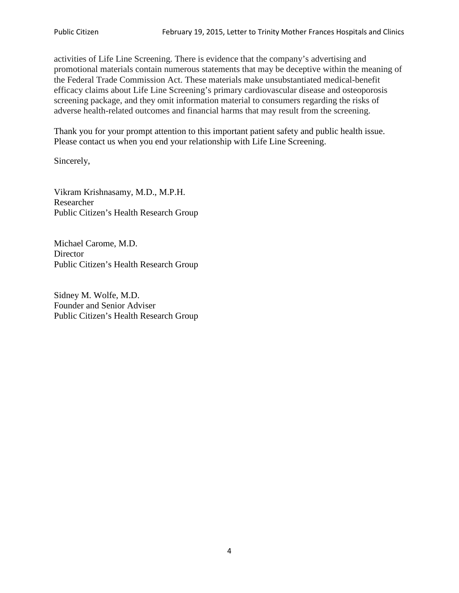activities of Life Line Screening. There is evidence that the company's advertising and promotional materials contain numerous statements that may be deceptive within the meaning of the Federal Trade Commission Act. These materials make unsubstantiated medical-benefit efficacy claims about Life Line Screening's primary cardiovascular disease and osteoporosis screening package, and they omit information material to consumers regarding the risks of adverse health-related outcomes and financial harms that may result from the screening.

Thank you for your prompt attention to this important patient safety and public health issue. Please contact us when you end your relationship with Life Line Screening.

Sincerely,

Vikram Krishnasamy, M.D., M.P.H. Researcher Public Citizen's Health Research Group

Michael Carome, M.D. **Director** Public Citizen's Health Research Group

Sidney M. Wolfe, M.D. Founder and Senior Adviser Public Citizen's Health Research Group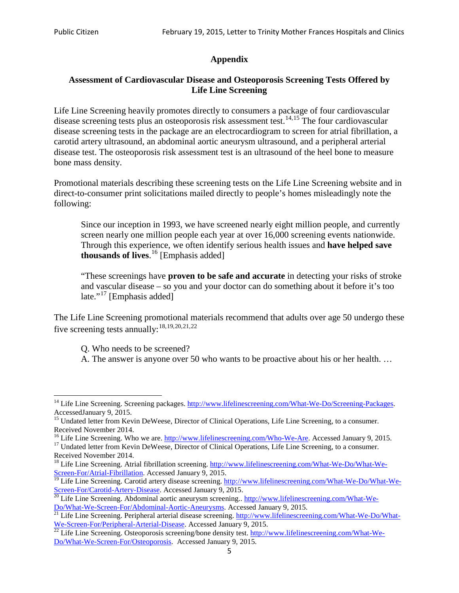# **Appendix**

# **Assessment of Cardiovascular Disease and Osteoporosis Screening Tests Offered by Life Line Screening**

Life Line Screening heavily promotes directly to consumers a package of four cardiovascular disease screening tests plus an osteoporosis risk assessment test.<sup>[14](#page-4-0),[15](#page-4-1)</sup> The four cardiovascular disease screening tests in the package are an electrocardiogram to screen for atrial fibrillation, a carotid artery ultrasound, an abdominal aortic aneurysm ultrasound, and a peripheral arterial disease test. The osteoporosis risk assessment test is an ultrasound of the heel bone to measure bone mass density.

Promotional materials describing these screening tests on the Life Line Screening website and in direct-to-consumer print solicitations mailed directly to people's homes misleadingly note the following:

Since our inception in 1993, we have screened nearly eight million people, and currently screen nearly one million people each year at over 16,000 screening events nationwide. Through this experience, we often identify serious health issues and **have helped save thousands of lives**. [16](#page-4-2) [Emphasis added]

"These screenings have **proven to be safe and accurate** in detecting your risks of stroke and vascular disease – so you and your doctor can do something about it before it's too late."<sup>[17](#page-4-3)</sup> [Emphasis added]

The Life Line Screening promotional materials recommend that adults over age 50 undergo these five screening tests annually:<sup>[18](#page-4-4),[19,](#page-4-5)[20,](#page-4-6)[21](#page-4-7),[22](#page-4-8)</sup>

Q. Who needs to be screened?

A. The answer is anyone over 50 who wants to be proactive about his or her health. …

<span id="page-4-0"></span><sup>&</sup>lt;sup>14</sup> Life Line Screening. Screening packages. [http://www.lifelinescreening.com/What-We-Do/Screening-Packages.](http://www.lifelinescreening.com/What-We-Do/Screening-Packages) AccessedJanuary 9, 2015.

<span id="page-4-1"></span><sup>&</sup>lt;sup>15</sup> Undated letter from Kevin DeWeese, Director of Clinical Operations, Life Line Screening, to a consumer.

Received November 2014.<br><sup>16</sup> Life Line Screening. Who we are. http://www.lifelinescreening.com/Who-We-Are. Accessed January 9, 2015.

<span id="page-4-3"></span><span id="page-4-2"></span><sup>&</sup>lt;sup>17</sup> Undated letter from Kevin DeWeese, Director of Clinical Operations, Life Line Screening, to a consumer. Received November 2014.

<span id="page-4-4"></span><sup>&</sup>lt;sup>18</sup> Life Line Screening. Atrial fibrillation screening. [http://www.lifelinescreening.com/What-We-Do/What-We-](http://www.lifelinescreening.com/What-We-Do/What-We-Screen-For/Atrial-Fibrillation)[Screen-For/Atrial-Fibrillation.](http://www.lifelinescreening.com/What-We-Do/What-We-Screen-For/Atrial-Fibrillation) Accessed January 9, 2015.

<span id="page-4-5"></span><sup>&</sup>lt;sup>19</sup> Life Line Screening. Carotid artery disease screening. [http://www.lifelinescreening.com/What-We-Do/What-We-](http://www.lifelinescreening.com/What-We-Do/What-We-Screen-For/Carotid-Artery-Disease)

<span id="page-4-6"></span>[Screen-For/Carotid-Artery-Disease.](http://www.lifelinescreening.com/What-We-Do/What-We-Screen-For/Carotid-Artery-Disease) Accessed January 9, 2015.<br><sup>20</sup> Life Line Screening. Abdominal aortic aneurysm screening.. http://www.lifelinescreening.com/What-We-<br>Do/What-We-Screen-For/Abdominal-Aortic-Aneurysms. Acces

<span id="page-4-7"></span> $\frac{1}{21}$  Life Line Screening. Peripheral arterial disease screening. [http://www.lifelinescreening.com/What-We-Do/What-](http://www.lifelinescreening.com/What-We-Do/What-We-Screen-For/Peripheral-Arterial-Disease)

<span id="page-4-8"></span>[We-Screen-For/Peripheral-Arterial-Disease.](http://www.lifelinescreening.com/What-We-Do/What-We-Screen-For/Peripheral-Arterial-Disease) Accessed January 9, 2015.<br><sup>22</sup> Life Line Screening. Osteoporosis screening/bone density test. [http://www.lifelinescreening.com/What-We-](http://www.lifelinescreening.com/What-We-Do/What-We-Screen-For/Osteoporosis)[Do/What-We-Screen-For/Osteoporosis.](http://www.lifelinescreening.com/What-We-Do/What-We-Screen-For/Osteoporosis) Accessed January 9, 2015.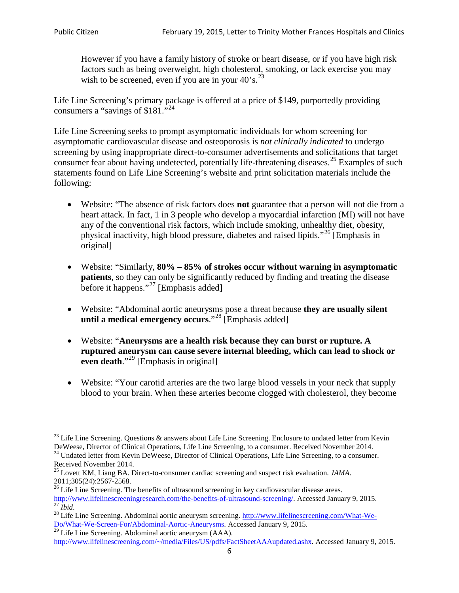However if you have a family history of stroke or heart disease, or if you have high risk factors such as being overweight, high cholesterol, smoking, or lack exercise you may wish to be screened, even if you are in your  $40^\circ$ s.<sup>[23](#page-5-0)</sup>

Life Line Screening's primary package is offered at a price of \$149, purportedly providing consumers a "savings of \$181."<sup>[24](#page-5-1)</sup>

Life Line Screening seeks to prompt asymptomatic individuals for whom screening for asymptomatic cardiovascular disease and osteoporosis is *not clinically indicated* to undergo screening by using inappropriate direct-to-consumer advertisements and solicitations that target consumer fear about having undetected, potentially life-threatening diseases.<sup>[25](#page-5-2)</sup> Examples of such statements found on Life Line Screening's website and print solicitation materials include the following:

- Website: "The absence of risk factors does **not** guarantee that a person will not die from a heart attack. In fact, 1 in 3 people who develop a myocardial infarction (MI) will not have any of the conventional risk factors, which include smoking, unhealthy diet, obesity, physical inactivity, high blood pressure, diabetes and raised lipids."[26](#page-5-3) [Emphasis in original]
- Website: "Similarly, **80% – 85% of strokes occur without warning in asymptomatic patients**, so they can only be significantly reduced by finding and treating the disease before it happens."<sup>[27](#page-5-4)</sup> [Emphasis added]
- Website: "Abdominal aortic aneurysms pose a threat because **they are usually silent until a medical emergency occurs**."[28](#page-5-5) [Emphasis added]
- Website: "**Aneurysms are a health risk because they can burst or rupture. A ruptured aneurysm can cause severe internal bleeding, which can lead to shock or even death.**"<sup>[29](#page-5-6)</sup> [Emphasis in original]
- Website: "Your carotid arteries are the two large blood vessels in your neck that supply blood to your brain. When these arteries become clogged with cholesterol, they become

<span id="page-5-0"></span><sup>&</sup>lt;sup>23</sup> Life Line Screening. Questions  $\&$  answers about Life Line Screening. Enclosure to undated letter from Kevin DeWeese, Director of Clinical Operations, Life Line Screening, to a consumer. Received November 2014.

<span id="page-5-1"></span><sup>&</sup>lt;sup>24</sup> Undated letter from Kevin DeWeese, Director of Clinical Operations, Life Line Screening, to a consumer. Received November 2014.

<span id="page-5-2"></span><sup>25</sup> Lovett KM, Liang BA. Direct-to-consumer cardiac screening and suspect risk evaluation. *JAMA*.  $2011;305(24):2567-2568$ .<br><sup>26</sup> Life Line Screening. The benefits of ultrasound screening in key cardiovascular disease areas.

<span id="page-5-3"></span>[http://www.lifelinescreeningresearch.com/the-benefits-of-ultrasound-screening/.](http://www.lifelinescreeningresearch.com/the-benefits-of-ultrasound-screening/) Accessed January 9, 2015.<br><sup>28</sup> Life Line Screening. Abdominal aortic aneurysm screening. http://www.lifelinescreening.com/What-We-<sup>28</sup>

<span id="page-5-5"></span><span id="page-5-4"></span>[Do/What-We-Screen-For/Abdominal-Aortic-Aneurysms.](http://www.lifelinescreening.com/What-We-Do/What-We-Screen-For/Abdominal-Aortic-Aneurysms) Accessed January 9, 2015. <sup>29</sup> Life Line Screening. Abdominal aortic aneurysm (AAA).

<span id="page-5-6"></span>[http://www.lifelinescreening.com/~/media/Files/US/pdfs/FactSheetAAAupdated.ashx.](http://www.lifelinescreening.com/~/media/Files/US/pdfs/FactSheetAAAupdated.ashx) Accessed January 9, 2015.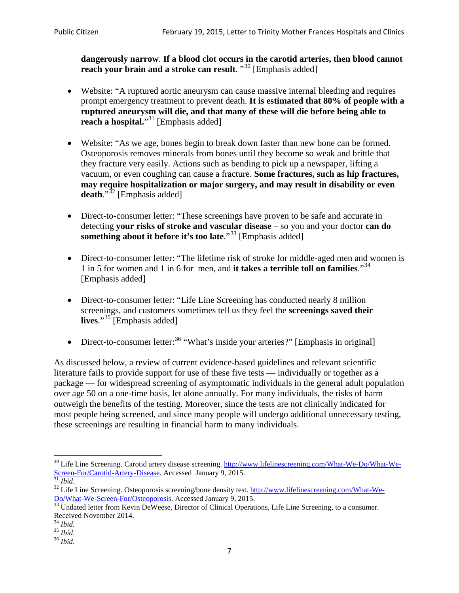**dangerously narrow**. **If a blood clot occurs in the carotid arteries, then blood cannot reach your brain and a stroke can result**. "<sup>[30](#page-6-0)</sup> [Emphasis added]

- Website: "A ruptured aortic aneurysm can cause massive internal bleeding and requires prompt emergency treatment to prevent death. **It is estimated that 80% of people with a ruptured aneurysm will die, and that many of these will die before being able to reach a hospital.**"<sup>[31](#page-6-1)</sup> [Emphasis added]
- Website: "As we age, bones begin to break down faster than new bone can be formed. Osteoporosis removes minerals from bones until they become so weak and brittle that they fracture very easily. Actions such as bending to pick up a newspaper, lifting a vacuum, or even coughing can cause a fracture. **Some fractures, such as hip fractures, may require hospitalization or major surgery, and may result in disability or even**  death."<sup>[32](#page-6-2)</sup> [Emphasis added]
- Direct-to-consumer letter: "These screenings have proven to be safe and accurate in detecting **your risks of stroke and vascular disease** – so you and your doctor **can do something about it before it's too late.**"<sup>[33](#page-6-3)</sup> [Emphasis added]
- Direct-to-consumer letter: "The lifetime risk of stroke for middle-aged men and women is 1 in 5 for women and 1 in 6 for men, and **it takes a terrible toll on families**."[34](#page-6-4) [Emphasis added]
- Direct-to-consumer letter: "Life Line Screening has conducted nearly 8 million screenings, and customers sometimes tell us they feel the **screenings saved their**  lives."<sup>[35](#page-6-5)</sup> [Emphasis added]
- Direct-to-consumer letter:  $36$  "What's inside your arteries?" [Emphasis in original]

As discussed below, a review of current evidence-based guidelines and relevant scientific literature fails to provide support for use of these five tests — individually or together as a package — for widespread screening of asymptomatic individuals in the general adult population over age 50 on a one-time basis, let alone annually. For many individuals, the risks of harm outweigh the benefits of the testing. Moreover, since the tests are not clinically indicated for most people being screened, and since many people will undergo additional unnecessary testing, these screenings are resulting in financial harm to many individuals.

<span id="page-6-0"></span><sup>&</sup>lt;sup>30</sup> Life Line Screening. Carotid artery disease screening. [http://www.lifelinescreening.com/What-We-Do/What-We-](http://www.lifelinescreening.com/What-We-Do/What-We-Screen-For/Carotid-Artery-Disease)[Screen-For/Carotid-Artery-Disease.](http://www.lifelinescreening.com/What-We-Do/What-We-Screen-For/Carotid-Artery-Disease) Accessed January 9, 2015.<br><sup>31</sup> *Ibid.* 32 Life Line Screening. Osteoporosis screening/bone density test. [http://www.lifelinescreening.com/What-We-](http://www.lifelinescreening.com/What-We-Do/What-We-Screen-For/Osteoporosis)

<span id="page-6-2"></span><span id="page-6-1"></span>[Do/What-We-Screen-For/Osteoporosis.](http://www.lifelinescreening.com/What-We-Do/What-We-Screen-For/Osteoporosis) Accessed January 9, 2015. <sup>33</sup> Undated letter from Kevin DeWeese, Director of Clinical Operations, Life Line Screening, to a consumer.

<span id="page-6-3"></span>Received November 2014.<br><sup>34</sup> Ibid.

<span id="page-6-4"></span>

<span id="page-6-5"></span><sup>34</sup> *Ibid*. 35 *Ibid*. 36 *Ibid*.

<span id="page-6-6"></span>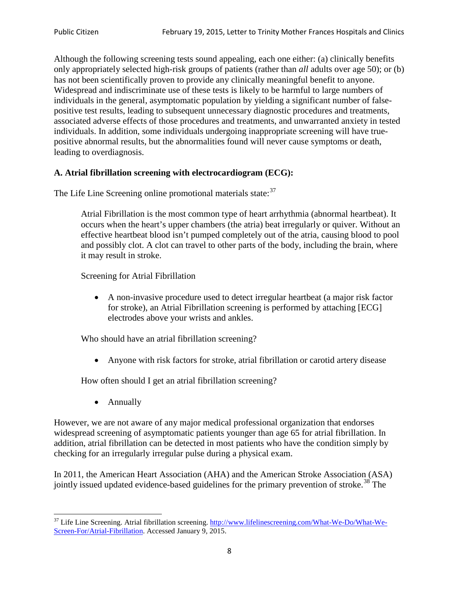Although the following screening tests sound appealing, each one either: (a) clinically benefits only appropriately selected high-risk groups of patients (rather than *all* adults over age 50); or (b) has not been scientifically proven to provide any clinically meaningful benefit to anyone. Widespread and indiscriminate use of these tests is likely to be harmful to large numbers of individuals in the general, asymptomatic population by yielding a significant number of falsepositive test results, leading to subsequent unnecessary diagnostic procedures and treatments, associated adverse effects of those procedures and treatments, and unwarranted anxiety in tested individuals. In addition, some individuals undergoing inappropriate screening will have truepositive abnormal results, but the abnormalities found will never cause symptoms or death, leading to overdiagnosis.

# **A. Atrial fibrillation screening with electrocardiogram (ECG):**

The Life Line Screening online promotional materials state:<sup>[37](#page-7-0)</sup>

Atrial Fibrillation is the most common type of heart arrhythmia (abnormal heartbeat). It occurs when the heart's upper chambers (the atria) beat irregularly or quiver. Without an effective heartbeat blood isn't pumped completely out of the atria, causing blood to pool and possibly clot. A clot can travel to other parts of the body, including the brain, where it may result in stroke.

Screening for Atrial Fibrillation

• A non-invasive procedure used to detect irregular heartbeat (a major risk factor for stroke), an Atrial Fibrillation screening is performed by attaching [ECG] electrodes above your wrists and ankles.

Who should have an atrial fibrillation screening?

• Anyone with risk factors for stroke, atrial fibrillation or carotid artery disease

How often should I get an atrial fibrillation screening?

• Annually

<span id="page-7-1"></span>However, we are not aware of any major medical professional organization that endorses widespread screening of asymptomatic patients younger than age 65 for atrial fibrillation. In addition, atrial fibrillation can be detected in most patients who have the condition simply by checking for an irregularly irregular pulse during a physical exam.

In 2011, the American Heart Association (AHA) and the American Stroke Association (ASA) jointly issued updated evidence-based guidelines for the primary prevention of stroke.<sup>[38](#page-7-1)</sup> The

<span id="page-7-0"></span><sup>&</sup>lt;sup>37</sup> Life Line Screening. Atrial fibrillation screening. [http://www.lifelinescreening.com/What-We-Do/What-We-](http://www.lifelinescreening.com/What-We-Do/What-We-Screen-For/Atrial-Fibrillation)[Screen-For/Atrial-Fibrillation.](http://www.lifelinescreening.com/What-We-Do/What-We-Screen-For/Atrial-Fibrillation) Accessed January 9, 2015.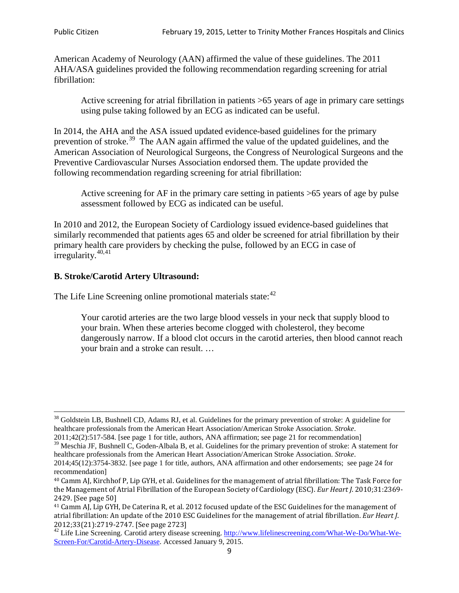American Academy of Neurology (AAN) affirmed the value of these guidelines. The 2011 AHA/ASA guidelines provided the following recommendation regarding screening for atrial fibrillation:

Active screening for atrial fibrillation in patients >65 years of age in primary care settings using pulse taking followed by an ECG as indicated can be useful.

In 2014, the AHA and the ASA issued updated evidence-based guidelines for the primary prevention of stroke.<sup>[39](#page-8-0)</sup> The AAN again affirmed the value of the updated guidelines, and the American Association of Neurological Surgeons, the Congress of Neurological Surgeons and the Preventive Cardiovascular Nurses Association endorsed them. The update provided the following recommendation regarding screening for atrial fibrillation:

Active screening for AF in the primary care setting in patients >65 years of age by pulse assessment followed by ECG as indicated can be useful.

In 2010 and 2012, the European Society of Cardiology issued evidence-based guidelines that similarly recommended that patients ages 65 and older be screened for atrial fibrillation by their primary health care providers by checking the pulse, followed by an ECG in case of irregularity. $40,41$  $40,41$ 

# **B. Stroke/Carotid Artery Ultrasound:**

The Life Line Screening online promotional materials state:<sup>[42](#page-8-3)</sup>

Your carotid arteries are the two large blood vessels in your neck that supply blood to your brain. When these arteries become clogged with cholesterol, they become dangerously narrow. If a blood clot occurs in the carotid arteries, then blood cannot reach your brain and a stroke can result. …

<sup>&</sup>lt;sup>38</sup> Goldstein LB, Bushnell CD, Adams RJ, et al. Guidelines for the primary prevention of stroke: A guideline for healthcare professionals from the American Heart Association/American Stroke Association. *Stroke*.

<sup>2011;42(2):517-584.</sup> [see page 1 for title, authors, ANA affirmation; see page 21 for recommendation]

<span id="page-8-0"></span> $\frac{2011,42(2)(317,601)}{39}$  Meschia JF, Bushnell C, Goden-Albala B, et al. Guidelines for the primary prevention of stroke: A statement for healthcare professionals from the American Heart Association/American Stroke Association. *Stroke*.

<sup>2014;45(12):3754-3832.</sup> [see page 1 for title, authors, ANA affirmation and other endorsements; see page 24 for recommendation]

<span id="page-8-1"></span><sup>40</sup> Camm AJ, Kirchhof P, Lip GYH, et al. Guidelines for the management of atrial fibrillation: The Task Force for the Management of Atrial Fibrillation of the European Society of Cardiology (ESC). *Eur Heart J*. 2010;31:2369- 2429. [See page 50]

<span id="page-8-2"></span><sup>41</sup> Camm AJ, Lip GYH, De Caterina R, et al. 2012 focused update of the ESC Guidelines for the management of atrial fibrillation: An update of the 2010 ESC Guidelines for the management of atrial fibrillation. *Eur Heart J*.

<span id="page-8-3"></span><sup>&</sup>lt;sup>2012</sup>;23(21):2719-2747. [See page 2733] 42 Life Line Screening. [http://www.lifelinescreening.com/What-We-Do/What-We-](http://www.lifelinescreening.com/What-We-Do/What-We-Screen-For/Carotid-Artery-Disease)[Screen-For/Carotid-Artery-Disease.](http://www.lifelinescreening.com/What-We-Do/What-We-Screen-For/Carotid-Artery-Disease) Accessed January 9, 2015.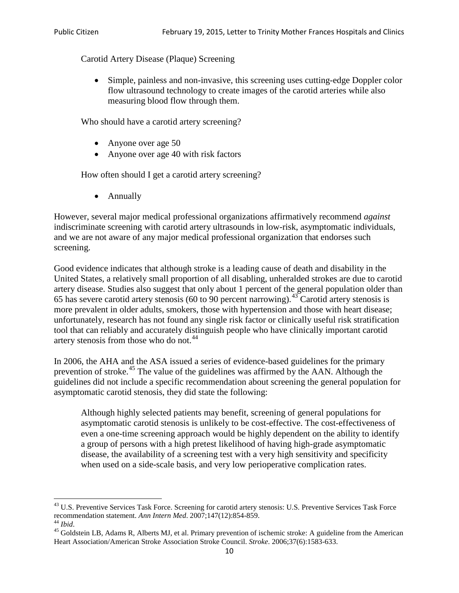Carotid Artery Disease (Plaque) Screening

• Simple, painless and non-invasive, this screening uses cutting-edge Doppler color flow ultrasound technology to create images of the carotid arteries while also measuring blood flow through them.

Who should have a carotid artery screening?

- Anyone over age 50
- Anyone over age 40 with risk factors

How often should I get a carotid artery screening?

• Annually

However, several major medical professional organizations affirmatively recommend *against* indiscriminate screening with carotid artery ultrasounds in low-risk, asymptomatic individuals, and we are not aware of any major medical professional organization that endorses such screening.

Good evidence indicates that although stroke is a leading cause of death and disability in the United States, a relatively small proportion of all disabling, unheralded strokes are due to carotid artery disease. Studies also suggest that only about 1 percent of the general population older than 65 has severe carotid artery stenosis (60 to 90 percent narrowing).<sup>[43](#page-9-0)</sup> Carotid artery stenosis is more prevalent in older adults, smokers, those with hypertension and those with heart disease; unfortunately, research has not found any single risk factor or clinically useful risk stratification tool that can reliably and accurately distinguish people who have clinically important carotid artery stenosis from those who do not.<sup>[44](#page-9-1)</sup>

In 2006, the AHA and the ASA issued a series of evidence-based guidelines for the primary prevention of stroke.[45](#page-9-2) The value of the guidelines was affirmed by the AAN. Although the guidelines did not include a specific recommendation about screening the general population for asymptomatic carotid stenosis, they did state the following:

Although highly selected patients may benefit, screening of general populations for asymptomatic carotid stenosis is unlikely to be cost-effective. The cost-effectiveness of even a one-time screening approach would be highly dependent on the ability to identify a group of persons with a high pretest likelihood of having high-grade asymptomatic disease, the availability of a screening test with a very high sensitivity and specificity when used on a side-scale basis, and very low perioperative complication rates.

<span id="page-9-0"></span> $^{43}$  U.S. Preventive Services Task Force. Screening for carotid artery stenosis: U.S. Preventive Services Task Force recommendation statement. Ann Intern Med. 2007;147(12):854-859.

<span id="page-9-2"></span>

<span id="page-9-1"></span><sup>&</sup>lt;sup>44</sup> *Ibid*. <sup>45</sup> Goldstein LB, Adams R, Alberts MJ, et al. Primary prevention of ischemic stroke: A guideline from the American <sup>45</sup> Goldstein LB, Adams R, Alberts MJ, et al. Primary prevention of ischemic stroke: A guide Heart Association/American Stroke Association Stroke Council. *Stroke*. 2006;37(6):1583-633.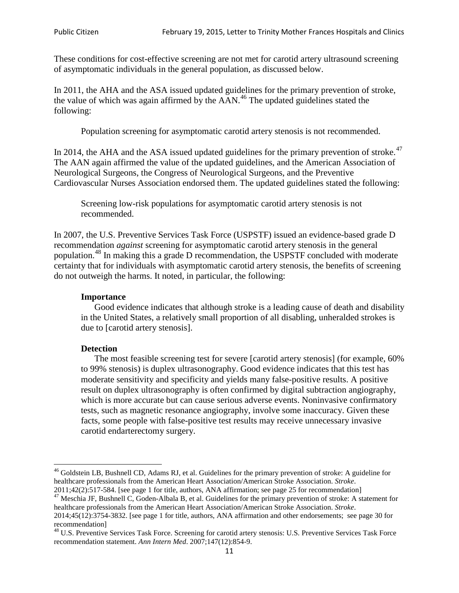These conditions for cost-effective screening are not met for carotid artery ultrasound screening of asymptomatic individuals in the general population, as discussed below.

In 2011, the AHA and the ASA issued updated guidelines for the primary prevention of stroke, the value of which was again affirmed by the  $AAN<sup>46</sup>$  $AAN<sup>46</sup>$  $AAN<sup>46</sup>$ . The updated guidelines stated the following:

Population screening for asymptomatic carotid artery stenosis is not recommended.

In 2014, the AHA and the ASA issued updated guidelines for the primary prevention of stroke. $47$ The AAN again affirmed the value of the updated guidelines, and the American Association of Neurological Surgeons, the Congress of Neurological Surgeons, and the Preventive Cardiovascular Nurses Association endorsed them. The updated guidelines stated the following:

Screening low-risk populations for asymptomatic carotid artery stenosis is not recommended.

In 2007, the U.S. Preventive Services Task Force (USPSTF) issued an evidence-based grade D recommendation *against* screening for asymptomatic carotid artery stenosis in the general population.[48](#page-10-2) In making this a grade D recommendation, the USPSTF concluded with moderate certainty that for individuals with asymptomatic carotid artery stenosis, the benefits of screening do not outweigh the harms. It noted, in particular, the following:

#### **Importance**

Good evidence indicates that although stroke is a leading cause of death and disability in the United States, a relatively small proportion of all disabling, unheralded strokes is due to [carotid artery stenosis].

#### **Detection**

The most feasible screening test for severe [carotid artery stenosis] (for example, 60% to 99% stenosis) is duplex ultrasonography. Good evidence indicates that this test has moderate sensitivity and specificity and yields many false-positive results. A positive result on duplex ultrasonography is often confirmed by digital subtraction angiography, which is more accurate but can cause serious adverse events. Noninvasive confirmatory tests, such as magnetic resonance angiography, involve some inaccuracy. Given these facts, some people with false-positive test results may receive unnecessary invasive carotid endarterectomy surgery.

<span id="page-10-0"></span><sup>&</sup>lt;sup>46</sup> Goldstein LB, Bushnell CD, Adams RJ, et al. Guidelines for the primary prevention of stroke: A guideline for healthcare professionals from the American Heart Association/American Stroke Association. *Stroke*.<br>2011;42(2):517-584. [see page 1 for title, authors, ANA affirmation; see page 25 for recommendation]

<span id="page-10-1"></span><sup>&</sup>lt;sup>47</sup> Meschia JF, Bushnell C, Goden-Albala B, et al. Guidelines for the primary prevention of stroke: A statement for healthcare professionals from the American Heart Association/American Stroke Association. *Stroke*. 2014;45(12):3754-3832. [see page 1 for title, authors, ANA affirmation and other endorsements; see page 30 for

recommendation]

<span id="page-10-2"></span><sup>&</sup>lt;sup>48</sup> U.S. Preventive Services Task Force. Screening for carotid artery stenosis: U.S. Preventive Services Task Force recommendation statement. *Ann Intern Med*. 2007;147(12):854-9.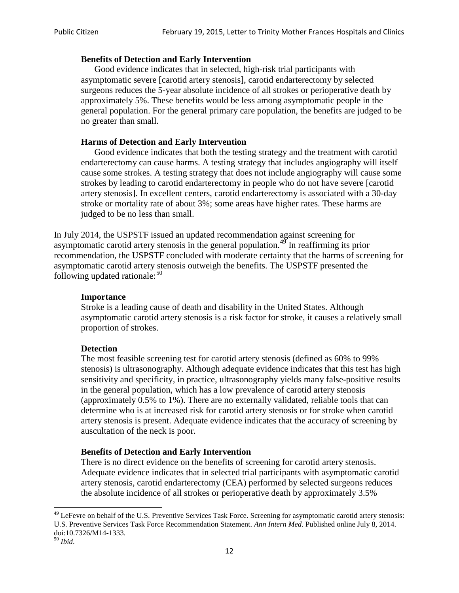### **Benefits of Detection and Early Intervention**

Good evidence indicates that in selected, high-risk trial participants with asymptomatic severe [carotid artery stenosis], carotid endarterectomy by selected surgeons reduces the 5-year absolute incidence of all strokes or perioperative death by approximately 5%. These benefits would be less among asymptomatic people in the general population. For the general primary care population, the benefits are judged to be no greater than small.

# **Harms of Detection and Early Intervention**

Good evidence indicates that both the testing strategy and the treatment with carotid endarterectomy can cause harms. A testing strategy that includes angiography will itself cause some strokes. A testing strategy that does not include angiography will cause some strokes by leading to carotid endarterectomy in people who do not have severe [carotid artery stenosis]. In excellent centers, carotid endarterectomy is associated with a 30-day stroke or mortality rate of about 3%; some areas have higher rates. These harms are judged to be no less than small.

In July 2014, the USPSTF issued an updated recommendation against screening for asymptomatic carotid artery stenosis in the general population.<sup>[49](#page-11-0)</sup> In reaffirming its prior recommendation, the USPSTF concluded with moderate certainty that the harms of screening for asymptomatic carotid artery stenosis outweigh the benefits. The USPSTF presented the following updated rationale: $50$ 

### **Importance**

Stroke is a leading cause of death and disability in the United States. Although asymptomatic carotid artery stenosis is a risk factor for stroke, it causes a relatively small proportion of strokes.

### **Detection**

The most feasible screening test for carotid artery stenosis (defined as 60% to 99% stenosis) is ultrasonography. Although adequate evidence indicates that this test has high sensitivity and specificity, in practice, ultrasonography yields many false-positive results in the general population, which has a low prevalence of carotid artery stenosis (approximately 0.5% to 1%). There are no externally validated, reliable tools that can determine who is at increased risk for carotid artery stenosis or for stroke when carotid artery stenosis is present. Adequate evidence indicates that the accuracy of screening by auscultation of the neck is poor.

### **Benefits of Detection and Early Intervention**

There is no direct evidence on the benefits of screening for carotid artery stenosis. Adequate evidence indicates that in selected trial participants with asymptomatic carotid artery stenosis, carotid endarterectomy (CEA) performed by selected surgeons reduces the absolute incidence of all strokes or perioperative death by approximately 3.5%

<span id="page-11-0"></span><sup>&</sup>lt;sup>49</sup> LeFevre on behalf of the U.S. Preventive Services Task Force. Screening for asymptomatic carotid artery stenosis: U.S. Preventive Services Task Force Recommendation Statement. *Ann Intern Med*. Published online July 8, 2014. doi:10.7326/M14-1333. <sup>50</sup> *Ibid*.

<span id="page-11-1"></span>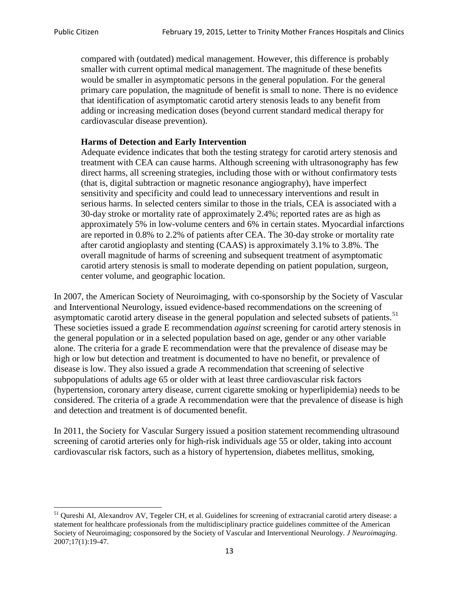compared with (outdated) medical management. However, this difference is probably smaller with current optimal medical management. The magnitude of these benefits would be smaller in asymptomatic persons in the general population. For the general primary care population, the magnitude of benefit is small to none. There is no evidence that identification of asymptomatic carotid artery stenosis leads to any benefit from adding or increasing medication doses (beyond current standard medical therapy for cardiovascular disease prevention).

# **Harms of Detection and Early Intervention**

Adequate evidence indicates that both the testing strategy for carotid artery stenosis and treatment with CEA can cause harms. Although screening with ultrasonography has few direct harms, all screening strategies, including those with or without confirmatory tests (that is, digital subtraction or magnetic resonance angiography), have imperfect sensitivity and specificity and could lead to unnecessary interventions and result in serious harms. In selected centers similar to those in the trials, CEA is associated with a 30-day stroke or mortality rate of approximately 2.4%; reported rates are as high as approximately 5% in low-volume centers and 6% in certain states. Myocardial infarctions are reported in 0.8% to 2.2% of patients after CEA. The 30-day stroke or mortality rate after carotid angioplasty and stenting (CAAS) is approximately 3.1% to 3.8%. The overall magnitude of harms of screening and subsequent treatment of asymptomatic carotid artery stenosis is small to moderate depending on patient population, surgeon, center volume, and geographic location.

In 2007, the American Society of Neuroimaging, with co-sponsorship by the Society of Vascular and Interventional Neurology, issued evidence-based recommendations on the screening of asymptomatic carotid artery disease in the general population and selected subsets of patients.<sup>[51](#page-12-0)</sup> These societies issued a grade E recommendation *against* screening for carotid artery stenosis in the general population or in a selected population based on age, gender or any other variable alone. The criteria for a grade E recommendation were that the prevalence of disease may be high or low but detection and treatment is documented to have no benefit, or prevalence of disease is low. They also issued a grade A recommendation that screening of selective subpopulations of adults age 65 or older with at least three cardiovascular risk factors (hypertension, coronary artery disease, current cigarette smoking or hyperlipidemia) needs to be considered. The criteria of a grade A recommendation were that the prevalence of disease is high and detection and treatment is of documented benefit.

In 2011, the Society for Vascular Surgery issued a position statement recommending ultrasound screening of carotid arteries only for high-risk individuals age 55 or older, taking into account cardiovascular risk factors, such as a history of hypertension, diabetes mellitus, smoking,

<span id="page-12-0"></span><sup>&</sup>lt;sup>51</sup> Qureshi AI, Alexandrov AV, Tegeler CH, et al. Guidelines for screening of extracranial carotid artery disease: a statement for healthcare professionals from the multidisciplinary practice guidelines committee of the American Society of Neuroimaging; cosponsored by the Society of Vascular and Interventional Neurology. *J Neuroimaging*. 2007;17(1):19-47.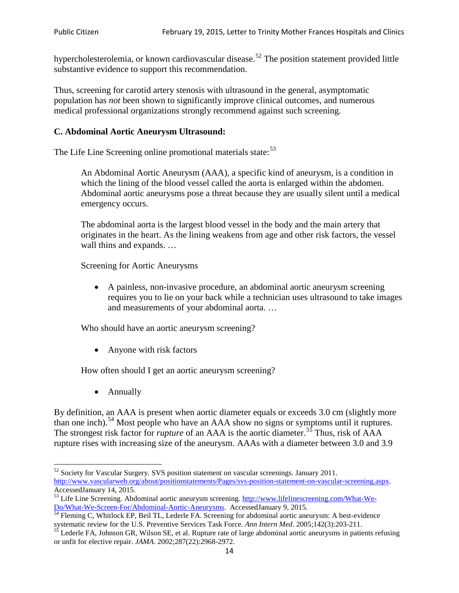hypercholesterolemia, or known cardiovascular disease.<sup>[52](#page-13-0)</sup> The position statement provided little substantive evidence to support this recommendation.

Thus, screening for carotid artery stenosis with ultrasound in the general, asymptomatic population has *not* been shown to significantly improve clinical outcomes, and numerous medical professional organizations strongly recommend against such screening.

# **C. Abdominal Aortic Aneurysm Ultrasound:**

The Life Line Screening online promotional materials state:<sup>[53](#page-13-1)</sup>

An Abdominal Aortic Aneurysm (AAA), a specific kind of aneurysm, is a condition in which the lining of the blood vessel called the aorta is enlarged within the abdomen. Abdominal aortic aneurysms pose a threat because they are usually silent until a medical emergency occurs.

The abdominal aorta is the largest blood vessel in the body and the main artery that originates in the heart. As the lining weakens from age and other risk factors, the vessel wall thins and expands. …

Screening for Aortic Aneurysms

• A painless, non-invasive procedure, an abdominal aortic aneurysm screening requires you to lie on your back while a technician uses ultrasound to take images and measurements of your abdominal aorta. …

Who should have an aortic aneurysm screening?

• Anyone with risk factors

How often should I get an aortic aneurysm screening?

• Annually

By definition, an AAA is present when aortic diameter equals or exceeds 3.0 cm (slightly more than one inch).<sup>[54](#page-13-2)</sup> Most people who have an AAA show no signs or symptoms until it ruptures. The strongest risk factor for *rupture* of an AAA is the aortic diameter.<sup>[55](#page-13-3)</sup> Thus, risk of AAA rupture rises with increasing size of the aneurysm. AAAs with a diameter between 3.0 and 3.9

<span id="page-13-0"></span><sup>&</sup>lt;sup>52</sup> Society for Vascular Surgery. SVS position statement on vascular screenings. January 2011. http://www.vascularweb.org/about/positionstatements/Pages/svs-position-statement-on-vascular-screening.aspx.<br>Accessed January 14, 2015.

<span id="page-13-1"></span>Accessed Line Screening. Abdominal aortic aneurysm screening. http://www.lifelinescreening.com/What-We-<br>Do/What-We-Screen-For/Abdominal-Aortic-Aneurysms. Accessed January 9, 2015.

<span id="page-13-2"></span> $\frac{54}{9}$  Fleming C, Whitlock EP, Beil TL, Lederle FA. Screening for abdominal aortic aneurysm: A best-evidence systematic review for the U.S. Preventive Services Task Force. *Ann Intern Med.* 2005;142(3):203-211.<br><sup>55</sup> Lederle FA, Johnson GR, Wilson SE, et al. Rupture rate of large abdominal aortic aneurysms in patients refusing

<span id="page-13-3"></span>or unfit for elective repair. *JAMA*. 2002;287(22):2968-2972.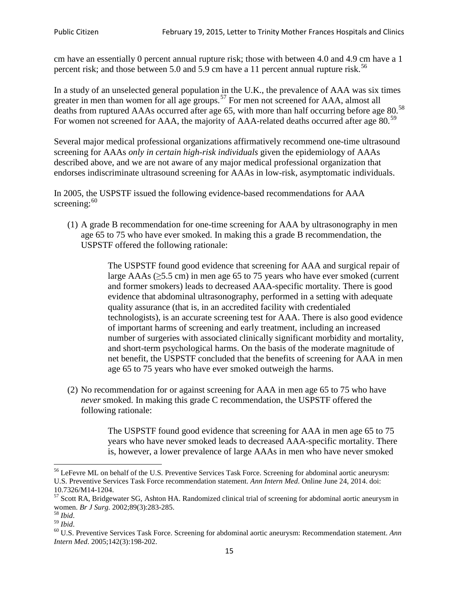cm have an essentially 0 percent annual rupture risk; those with between 4.0 and 4.9 cm have a 1 percent risk; and those between 5.0 and 5.9 cm have a 11 percent annual rupture risk.<sup>[56](#page-14-0)</sup>

In a study of an unselected general population in the U.K., the prevalence of AAA was six times greater in men than women for all age groups.<sup>[57](#page-14-1)</sup> For men not screened for  $AAA$ , almost all deaths from ruptured AAAs occurred after age 65, with more than half occurring before age 80.<sup>[58](#page-14-2)</sup> For women not screened for AAA, the majority of AAA-related deaths occurred after age 80.<sup>[59](#page-14-3)</sup>

Several major medical professional organizations affirmatively recommend one-time ultrasound screening for AAAs *only in certain high-risk individuals* given the epidemiology of AAAs described above, and we are not aware of any major medical professional organization that endorses indiscriminate ultrasound screening for AAAs in low-risk, asymptomatic individuals.

In 2005, the USPSTF issued the following evidence-based recommendations for AAA screening: $60$ 

(1) A grade B recommendation for one-time screening for AAA by ultrasonography in men age 65 to 75 who have ever smoked. In making this a grade [B recommendation,](http://www.uspreventiveservicestaskforce.org/uspstf/gradespre.htm#brec) the USPSTF offered the following rationale:

> The USPSTF found good evidence that screening for AAA and surgical repair of large AAAs ( $\geq$ 5.5 cm) in men age 65 to 75 years who have ever smoked (current and former smokers) leads to decreased AAA-specific mortality. There is good evidence that abdominal ultrasonography, performed in a setting with adequate quality assurance (that is, in an accredited facility with credentialed technologists), is an accurate screening test for AAA. There is also good evidence of important harms of screening and early treatment, including an increased number of surgeries with associated clinically significant morbidity and mortality, and short-term psychological harms. On the basis of the moderate magnitude of net benefit, the USPSTF concluded that the benefits of screening for AAA in men age 65 to 75 years who have ever smoked outweigh the harms.

(2) No recommendation for or against screening for AAA in men age 65 to 75 who have *never* smoked. In making this grade C recommendation, the USPSTF offered the following rationale:

> The USPSTF found good evidence that screening for AAA in men age 65 to 75 years who have never smoked leads to decreased AAA-specific mortality. There is, however, a lower prevalence of large AAAs in men who have never smoked

<span id="page-14-0"></span><sup>&</sup>lt;sup>56</sup> LeFevre ML on behalf of the U.S. Preventive Services Task Force. Screening for abdominal aortic aneurysm: U.S. Preventive Services Task Force recommendation statement. *Ann Intern Med*. Online June 24, 2014. doi:

<span id="page-14-1"></span><sup>10.7326/</sup>M14-1204.<br> $57$  Scott RA, Bridgewater SG, Ashton HA. Randomized clinical trial of screening for abdominal aortic aneurysm in women. *Br J Surg.* 2002;89(3):283-285.

<span id="page-14-4"></span><span id="page-14-3"></span>

<span id="page-14-2"></span><sup>&</sup>lt;sup>58</sup> *Ibid.*<br><sup>59</sup> *Ibid.* 2002;<br><sup>60</sup> U.S. Preventive Services Task Force. Screening for abdominal aortic aneurysm: Recommendation statement. *Ann Intern Med*. 2005;142(3):198-202.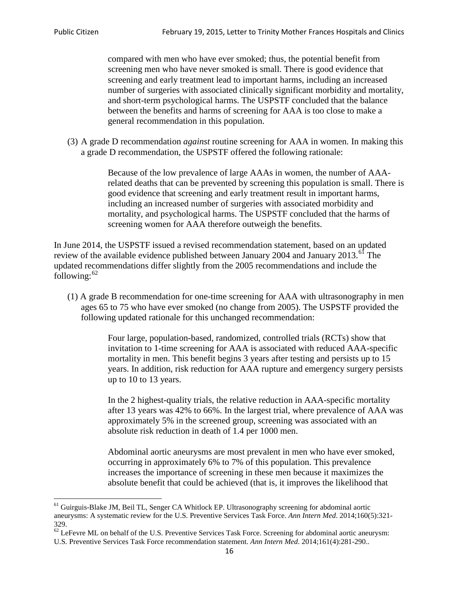compared with men who have ever smoked; thus, the potential benefit from screening men who have never smoked is small. There is good evidence that screening and early treatment lead to important harms, including an increased number of surgeries with associated clinically significant morbidity and mortality, and short-term psychological harms. The USPSTF concluded that the balance between the benefits and harms of screening for AAA is too close to make a general recommendation in this population.

(3) A grade D recommendation *against* routine screening for AAA in women. In making this a grade D recommendation, the USPSTF offered the following rationale:

> Because of the low prevalence of large AAAs in women, the number of AAArelated deaths that can be prevented by screening this population is small. There is good evidence that screening and early treatment result in important harms, including an increased number of surgeries with associated morbidity and mortality, and psychological harms. The USPSTF concluded that the harms of screening women for AAA therefore outweigh the benefits.

In June 2014, the USPSTF issued a revised recommendation statement, based on an updated review of the available evidence published between January 2004 and January 2013.<sup>[61](#page-15-0)</sup> The updated recommendations differ slightly from the 2005 recommendations and include the following: $62$ 

(1) A grade B recommendation for one-time screening for AAA with ultrasonography in men ages 65 to 75 who have ever smoked (no change from 2005). The USPSTF provided the following updated rationale for this unchanged recommendation:

> Four large, population-based, randomized, controlled trials (RCTs) show that invitation to 1-time screening for AAA is associated with reduced AAA-specific mortality in men. This benefit begins 3 years after testing and persists up to 15 years. In addition, risk reduction for AAA rupture and emergency surgery persists up to 10 to 13 years.

> In the 2 highest-quality trials, the relative reduction in AAA-specific mortality after 13 years was 42% to 66%. In the largest trial, where prevalence of AAA was approximately 5% in the screened group, screening was associated with an absolute risk reduction in death of 1.4 per 1000 men.

Abdominal aortic aneurysms are most prevalent in men who have ever smoked, occurring in approximately 6% to 7% of this population. This prevalence increases the importance of screening in these men because it maximizes the absolute benefit that could be achieved (that is, it improves the likelihood that

<span id="page-15-0"></span><sup>61</sup> Guirguis-Blake JM, Beil TL, Senger CA Whitlock EP. Ultrasonography screening for abdominal aortic aneurysms: A systematic review for the U.S. Preventive Services Task Force. *Ann Intern Med*. 2014;160(5):321- 329.

<span id="page-15-1"></span> $62$  LeFevre ML on behalf of the U.S. Preventive Services Task Force. Screening for abdominal aortic aneurysm: U.S. Preventive Services Task Force recommendation statement. *Ann Intern Med*. 2014;161(4):281-290..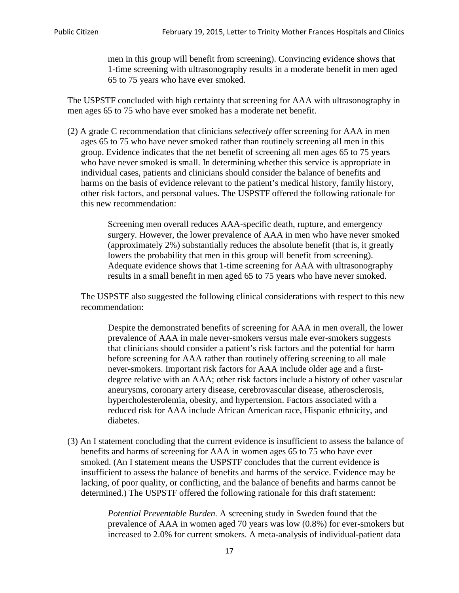men in this group will benefit from screening). Convincing evidence shows that 1-time screening with ultrasonography results in a moderate benefit in men aged 65 to 75 years who have ever smoked.

The USPSTF concluded with high certainty that screening for AAA with ultrasonography in men ages 65 to 75 who have ever smoked has a moderate net benefit.

(2) A grade C recommendation that clinicians *selectively* offer screening for AAA in men ages 65 to 75 who have never smoked rather than routinely screening all men in this group. Evidence indicates that the net benefit of screening all men ages 65 to 75 years who have never smoked is small. In determining whether this service is appropriate in individual cases, patients and clinicians should consider the balance of benefits and harms on the basis of evidence relevant to the patient's medical history, family history, other risk factors, and personal values. The USPSTF offered the following rationale for this new recommendation:

> Screening men overall reduces AAA-specific death, rupture, and emergency surgery. However, the lower prevalence of AAA in men who have never smoked (approximately 2%) substantially reduces the absolute benefit (that is, it greatly lowers the probability that men in this group will benefit from screening). Adequate evidence shows that 1-time screening for AAA with ultrasonography results in a small benefit in men aged 65 to 75 years who have never smoked.

The USPSTF also suggested the following clinical considerations with respect to this new recommendation:

Despite the demonstrated benefits of screening for AAA in men overall, the lower prevalence of AAA in male never-smokers versus male ever-smokers suggests that clinicians should consider a patient's risk factors and the potential for harm before screening for AAA rather than routinely offering screening to all male never-smokers. Important risk factors for AAA include older age and a firstdegree relative with an AAA; other risk factors include a history of other vascular aneurysms, coronary artery disease, cerebrovascular disease, atherosclerosis, hypercholesterolemia, obesity, and hypertension. Factors associated with a reduced risk for AAA include African American race, Hispanic ethnicity, and diabetes.

(3) An I statement concluding that the current evidence is insufficient to assess the balance of benefits and harms of screening for AAA in women ages 65 to 75 who have ever smoked. (An I statement means the USPSTF concludes that the current evidence is insufficient to assess the balance of benefits and harms of the service. Evidence may be lacking, of poor quality, or conflicting, and the balance of benefits and harms cannot be determined.) The USPSTF offered the following rationale for this draft statement:

> *Potential Preventable Burden.* A screening study in Sweden found that the prevalence of AAA in women aged 70 years was low (0.8%) for ever-smokers but increased to 2.0% for current smokers. A meta-analysis of individual-patient data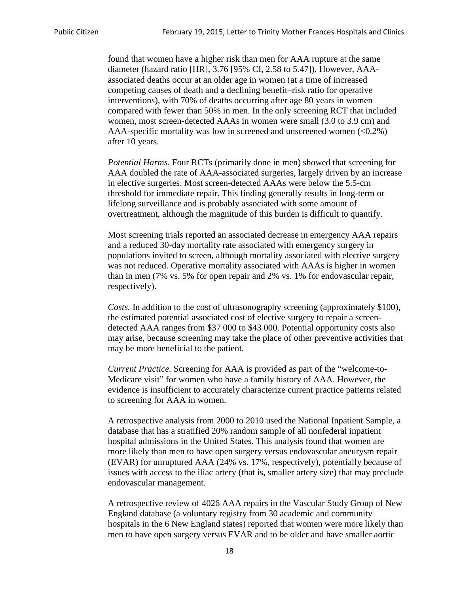found that women have a higher risk than men for AAA rupture at the same diameter (hazard ratio [HR], 3.76 [95% CI, 2.58 to 5.47]). However, AAAassociated deaths occur at an older age in women (at a time of increased competing causes of death and a declining benefit–risk ratio for operative interventions), with 70% of deaths occurring after age 80 years in women compared with fewer than 50% in men. In the only screening RCT that included women, most screen-detected AAAs in women were small (3.0 to 3.9 cm) and AAA-specific mortality was low in screened and unscreened women (<0.2%) after 10 years.

*Potential Harms.* Four RCTs (primarily done in men) showed that screening for AAA doubled the rate of AAA-associated surgeries, largely driven by an increase in elective surgeries. Most screen-detected AAAs were below the 5.5-cm threshold for immediate repair. This finding generally results in long-term or lifelong surveillance and is probably associated with some amount of overtreatment, although the magnitude of this burden is difficult to quantify.

Most screening trials reported an associated decrease in emergency AAA repairs and a reduced 30-day mortality rate associated with emergency surgery in populations invited to screen, although mortality associated with elective surgery was not reduced. Operative mortality associated with AAAs is higher in women than in men (7% vs. 5% for open repair and 2% vs. 1% for endovascular repair, respectively).

*Costs.* In addition to the cost of ultrasonography screening (approximately \$100), the estimated potential associated cost of elective surgery to repair a screendetected AAA ranges from \$37 000 to \$43 000. Potential opportunity costs also may arise, because screening may take the place of other preventive activities that may be more beneficial to the patient.

*Current Practice.* Screening for AAA is provided as part of the "welcome-to-Medicare visit" for women who have a family history of AAA. However, the evidence is insufficient to accurately characterize current practice patterns related to screening for AAA in women.

A retrospective analysis from 2000 to 2010 used the National Inpatient Sample, a database that has a stratified 20% random sample of all nonfederal inpatient hospital admissions in the United States. This analysis found that women are more likely than men to have open surgery versus endovascular aneurysm repair (EVAR) for unruptured AAA (24% vs. 17%, respectively), potentially because of issues with access to the iliac artery (that is, smaller artery size) that may preclude endovascular management.

A retrospective review of 4026 AAA repairs in the Vascular Study Group of New England database (a voluntary registry from 30 academic and community hospitals in the 6 New England states) reported that women were more likely than men to have open surgery versus EVAR and to be older and have smaller aortic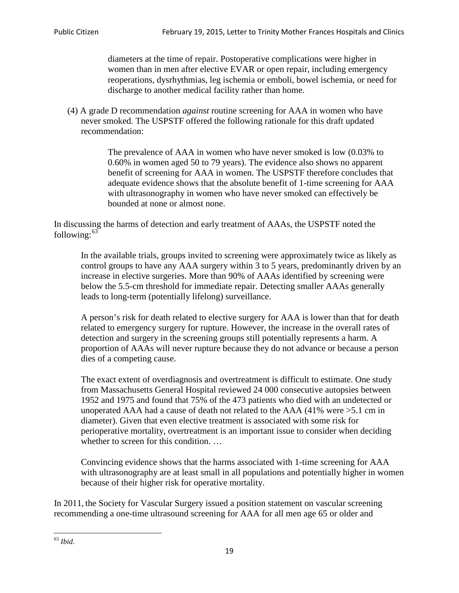diameters at the time of repair. Postoperative complications were higher in women than in men after elective EVAR or open repair, including emergency reoperations, dysrhythmias, leg ischemia or emboli, bowel ischemia, or need for discharge to another medical facility rather than home.

(4) A grade D recommendation *against* routine screening for AAA in women who have never smoked. The USPSTF offered the following rationale for this draft updated recommendation:

> The prevalence of AAA in women who have never smoked is low (0.03% to 0.60% in women aged 50 to 79 years). The evidence also shows no apparent benefit of screening for AAA in women. The USPSTF therefore concludes that adequate evidence shows that the absolute benefit of 1-time screening for AAA with ultrasonography in women who have never smoked can effectively be bounded at none or almost none.

In discussing the harms of detection and early treatment of AAAs, the USPSTF noted the following: $63$ 

In the available trials, groups invited to screening were approximately twice as likely as control groups to have any AAA surgery within 3 to 5 years, predominantly driven by an increase in elective surgeries. More than 90% of AAAs identified by screening were below the 5.5-cm threshold for immediate repair. Detecting smaller AAAs generally leads to long-term (potentially lifelong) surveillance.

A person's risk for death related to elective surgery for AAA is lower than that for death related to emergency surgery for rupture. However, the increase in the overall rates of detection and surgery in the screening groups still potentially represents a harm. A proportion of AAAs will never rupture because they do not advance or because a person dies of a competing cause.

The exact extent of overdiagnosis and overtreatment is difficult to estimate. One study from Massachusetts General Hospital reviewed 24 000 consecutive autopsies between 1952 and 1975 and found that 75% of the 473 patients who died with an undetected or unoperated AAA had a cause of death not related to the AAA (41% were >5.1 cm in diameter). Given that even elective treatment is associated with some risk for perioperative mortality, overtreatment is an important issue to consider when deciding whether to screen for this condition....

Convincing evidence shows that the harms associated with 1-time screening for AAA with ultrasonography are at least small in all populations and potentially higher in women because of their higher risk for operative mortality.

In 2011, the Society for Vascular Surgery issued a position statement on vascular screening recommending a one-time ultrasound screening for AAA for all men age 65 or older and

<span id="page-18-0"></span><sup>63</sup> *Ibid*.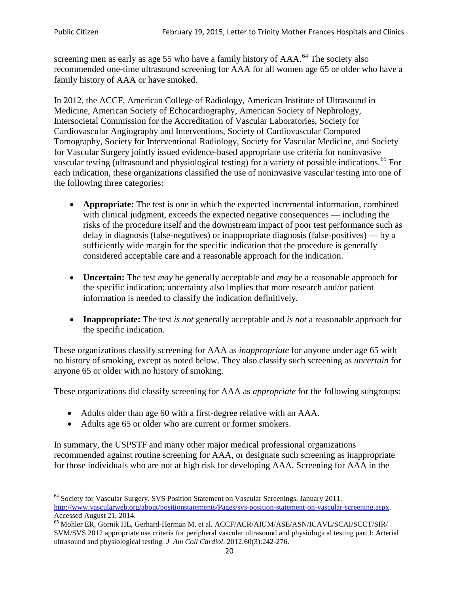screening men as early as age 55 who have a family history of AAA.<sup>[64](#page-19-0)</sup> The society also recommended one-time ultrasound screening for AAA for all women age 65 or older who have a family history of AAA or have smoked.

In 2012, the ACCF, American College of Radiology, American Institute of Ultrasound in Medicine, American Society of Echocardiography, American Society of Nephrology, Intersocietal Commission for the Accreditation of Vascular Laboratories, Society for Cardiovascular Angiography and Interventions, Society of Cardiovascular Computed Tomography, Society for Interventional Radiology, Society for Vascular Medicine, and Society for Vascular Surgery jointly issued evidence-based appropriate use criteria for noninvasive vascular testing (ultrasound and physiological testing) for a variety of possible indications.<sup>[65](#page-19-1)</sup> For each indication, these organizations classified the use of noninvasive vascular testing into one of the following three categories:

- **Appropriate:** The test is one in which the expected incremental information, combined with clinical judgment, exceeds the expected negative consequences — including the risks of the procedure itself and the downstream impact of poor test performance such as delay in diagnosis (false-negatives) or inappropriate diagnosis (false-positives) — by a sufficiently wide margin for the specific indication that the procedure is generally considered acceptable care and a reasonable approach for the indication.
- **Uncertain:** The test *may* be generally acceptable and *may* be a reasonable approach for the specific indication; uncertainty also implies that more research and/or patient information is needed to classify the indication definitively.
- **Inappropriate:** The test *is not* generally acceptable and *is not* a reasonable approach for the specific indication.

These organizations classify screening for AAA as *inappropriate* for anyone under age 65 with no history of smoking, except as noted below. They also classify such screening as *uncertain* for anyone 65 or older with no history of smoking.

These organizations did classify screening for AAA as *appropriate* for the following subgroups:

- Adults older than age 60 with a first-degree relative with an AAA.
- Adults age 65 or older who are current or former smokers.

In summary, the USPSTF and many other major medical professional organizations recommended against routine screening for AAA, or designate such screening as inappropriate for those individuals who are not at high risk for developing AAA. Screening for AAA in the

<span id="page-19-0"></span><sup>64</sup> Society for Vascular Surgery. SVS Position Statement on Vascular Screenings. January 2011. [http://www.vascularweb.org/about/positionstatements/Pages/svs-position-statement-on-vascular-screening.aspx.](http://www.vascularweb.org/about/positionstatements/Pages/svs-position-statement-on-vascular-screening.aspx) 

<span id="page-19-1"></span>Accessed August 21, 2014.<br><sup>65</sup> Mohler ER, Gornik HL, Gerhard-Herman M, et al. ACCF/ACR/AIUM/ASE/ASN/ICAVL/SCAI/SCCT/SIR/ SVM/SVS 2012 appropriate use criteria for peripheral vascular ultrasound and physiological testing part I: Arterial ultrasound and physiological testing*. J Am Coll Cardiol*. 2012;60(3):242-276.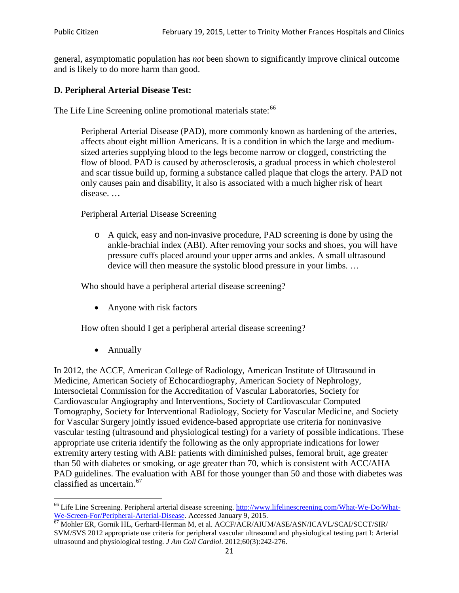general, asymptomatic population has *not* been shown to significantly improve clinical outcome and is likely to do more harm than good.

# **D. Peripheral Arterial Disease Test:**

The Life Line Screening online promotional materials state:<sup>[66](#page-20-0)</sup>

Peripheral Arterial Disease (PAD), more commonly known as hardening of the arteries, affects about eight million Americans. It is a condition in which the large and mediumsized arteries supplying blood to the legs become narrow or clogged, constricting the flow of blood. PAD is caused by atherosclerosis, a gradual process in which cholesterol and scar tissue build up, forming a substance called plaque that clogs the artery. PAD not only causes pain and disability, it also is associated with a much higher risk of heart disease. …

Peripheral Arterial Disease Screening

o A quick, easy and non-invasive procedure, PAD screening is done by using the ankle-brachial index (ABI). After removing your socks and shoes, you will have pressure cuffs placed around your upper arms and ankles. A small ultrasound device will then measure the systolic blood pressure in your limbs. …

Who should have a peripheral arterial disease screening?

• Anyone with risk factors

How often should I get a peripheral arterial disease screening?

• Annually

In 2012, the ACCF, American College of Radiology, American Institute of Ultrasound in Medicine, American Society of Echocardiography, American Society of Nephrology, Intersocietal Commission for the Accreditation of Vascular Laboratories, Society for Cardiovascular Angiography and Interventions, Society of Cardiovascular Computed Tomography, Society for Interventional Radiology, Society for Vascular Medicine, and Society for Vascular Surgery jointly issued evidence-based appropriate use criteria for noninvasive vascular testing (ultrasound and physiological testing) for a variety of possible indications. These appropriate use criteria identify the following as the only appropriate indications for lower extremity artery testing with ABI: patients with diminished pulses, femoral bruit, age greater than 50 with diabetes or smoking, or age greater than 70, which is consistent with ACC/AHA PAD guidelines. The evaluation with ABI for those younger than 50 and those with diabetes was classified as uncertain.<sup>[67](#page-20-1)</sup>

<span id="page-20-0"></span><sup>&</sup>lt;sup>66</sup> Life Line Screening. Peripheral arterial disease screening. [http://www.lifelinescreening.com/What-We-Do/What-](http://www.lifelinescreening.com/What-We-Do/What-We-Screen-For/Peripheral-Arterial-Disease)[We-Screen-For/Peripheral-Arterial-Disease.](http://www.lifelinescreening.com/What-We-Do/What-We-Screen-For/Peripheral-Arterial-Disease) Accessed January 9, 2015.<br><sup>67</sup> Mohler ER, Gornik HL, Gerhard-Herman M, et al. ACCF/ACR/AIUM/ASE/ASN/ICAVL/SCAI/SCCT/SIR/

<span id="page-20-1"></span>SVM/SVS 2012 appropriate use criteria for peripheral vascular ultrasound and physiological testing part I: Arterial ultrasound and physiological testing. *J Am Coll Cardiol*. 2012;60(3):242-276.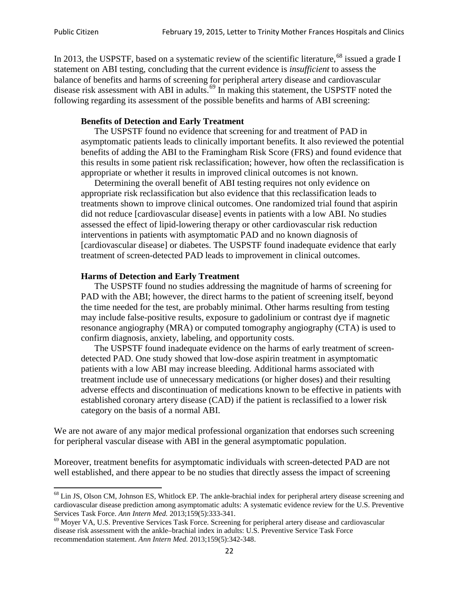In 2013, the USPSTF, based on a systematic review of the scientific literature,<sup>[68](#page-21-0)</sup> issued a grade I statement on ABI testing, concluding that the current evidence is *insufficient* to assess the balance of benefits and harms of screening for peripheral artery disease and cardiovascular disease risk assessment with ABI in adults.<sup>[69](#page-21-1)</sup> In making this statement, the USPSTF noted the following regarding its assessment of the possible benefits and harms of ABI screening:

#### **Benefits of Detection and Early Treatment**

The USPSTF found no evidence that screening for and treatment of PAD in asymptomatic patients leads to clinically important benefits. It also reviewed the potential benefits of adding the ABI to the Framingham Risk Score (FRS) and found evidence that this results in some patient risk reclassification; however, how often the reclassification is appropriate or whether it results in improved clinical outcomes is not known.

Determining the overall benefit of ABI testing requires not only evidence on appropriate risk reclassification but also evidence that this reclassification leads to treatments shown to improve clinical outcomes. One randomized trial found that aspirin did not reduce [cardiovascular disease] events in patients with a low ABI. No studies assessed the effect of lipid-lowering therapy or other cardiovascular risk reduction interventions in patients with asymptomatic PAD and no known diagnosis of [cardiovascular disease] or diabetes. The USPSTF found inadequate evidence that early treatment of screen-detected PAD leads to improvement in clinical outcomes.

#### **Harms of Detection and Early Treatment**

The USPSTF found no studies addressing the magnitude of harms of screening for PAD with the ABI; however, the direct harms to the patient of screening itself, beyond the time needed for the test, are probably minimal. Other harms resulting from testing may include false-positive results, exposure to gadolinium or contrast dye if magnetic resonance angiography (MRA) or computed tomography angiography (CTA) is used to confirm diagnosis, anxiety, labeling, and opportunity costs.

The USPSTF found inadequate evidence on the harms of early treatment of screendetected PAD. One study showed that low-dose aspirin treatment in asymptomatic patients with a low ABI may increase bleeding. Additional harms associated with treatment include use of unnecessary medications (or higher doses) and their resulting adverse effects and discontinuation of medications known to be effective in patients with established coronary artery disease (CAD) if the patient is reclassified to a lower risk category on the basis of a normal ABI.

We are not aware of any major medical professional organization that endorses such screening for peripheral vascular disease with ABI in the general asymptomatic population.

Moreover, treatment benefits for asymptomatic individuals with screen-detected PAD are not well established, and there appear to be no studies that directly assess the impact of screening

<span id="page-21-0"></span><sup>&</sup>lt;sup>68</sup> Lin JS, Olson CM, Johnson ES, Whitlock EP. The ankle-brachial index for peripheral artery disease screening and cardiovascular disease prediction among asymptomatic adults: A systematic evidence review for the U.S. Preventive Services Task Force. *Ann Intern Med.* 2013;159(5):333-341.<br><sup>69</sup> Moyer VA, U.S. Preventive Services Task Force. Screening for peripheral artery disease and cardiovascular

<span id="page-21-1"></span>disease risk assessment with the ankle–brachial index in adults: U.S. Preventive Service Task Force recommendation statement. *Ann Intern Med.* 2013;159(5):342-348.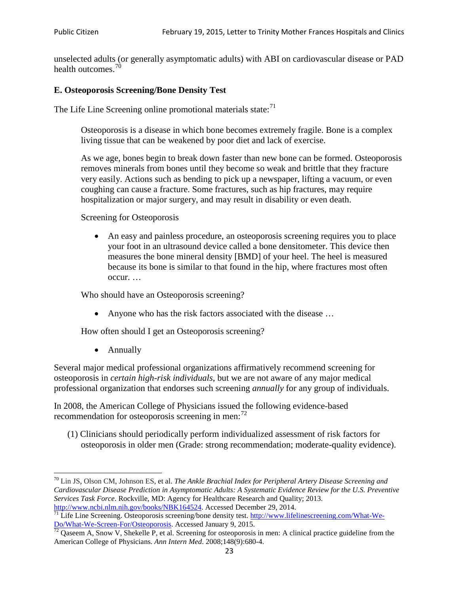unselected adults (or generally asymptomatic adults) with ABI on cardiovascular disease or PAD health outcomes.<sup>[70](#page-22-0)</sup>

# **E. Osteoporosis Screening/Bone Density Test**

The Life Line Screening online promotional materials state: $<sup>71</sup>$  $<sup>71</sup>$  $<sup>71</sup>$ </sup>

Osteoporosis is a disease in which bone becomes extremely fragile. Bone is a complex living tissue that can be weakened by poor diet and lack of exercise.

As we age, bones begin to break down faster than new bone can be formed. Osteoporosis removes minerals from bones until they become so weak and brittle that they fracture very easily. Actions such as bending to pick up a newspaper, lifting a vacuum, or even coughing can cause a fracture. Some fractures, such as hip fractures, may require hospitalization or major surgery, and may result in disability or even death.

Screening for Osteoporosis

• An easy and painless procedure, an osteoporosis screening requires you to place your foot in an ultrasound device called a bone densitometer. This device then measures the bone mineral density [BMD] of your heel. The heel is measured because its bone is similar to that found in the hip, where fractures most often occur. …

Who should have an Osteoporosis screening?

• Anyone who has the risk factors associated with the disease ...

How often should I get an Osteoporosis screening?

• Annually

Several major medical professional organizations affirmatively recommend screening for osteoporosis in *certain high-risk individuals*, but we are not aware of any major medical professional organization that endorses such screening *annually* for any group of individuals.

In 2008, the American College of Physicians issued the following evidence-based recommendation for osteoporosis screening in men: $^{72}$  $^{72}$  $^{72}$ 

(1) Clinicians should periodically perform individualized assessment of risk factors for osteoporosis in older men (Grade: strong recommendation; moderate-quality evidence).

<span id="page-22-0"></span><sup>70</sup> [Lin JS,](http://www.ncbi.nlm.nih.gov/pubmed?term=Lin%20JS%5BAuthor%5D&cauthor=true&cauthor_uid=24156115) [Olson CM,](http://www.ncbi.nlm.nih.gov/pubmed?term=Olson%20CM%5BAuthor%5D&cauthor=true&cauthor_uid=24156115) [Johnson ES,](http://www.ncbi.nlm.nih.gov/pubmed?term=Johnson%20ES%5BAuthor%5D&cauthor=true&cauthor_uid=24156115) et al. *The Ankle Brachial Index for Peripheral Artery Disease Screening and Cardiovascular Disease Prediction in Asymptomatic Adults: A Systematic Evidence Review for the U.S. Preventive Services Task Force*. Rockville, MD: Agency for Healthcare Research and Quality; 2013.<br>http://www.ncbi.nlm.nih.gov/books/NBK164524. Accessed December 29, 2014.

<span id="page-22-1"></span> $\frac{1}{71}$  Life Line Screening. Osteoporosis screening/bone density test. [http://www.lifelinescreening.com/What-We-](http://www.lifelinescreening.com/What-We-Do/What-We-Screen-For/Osteoporosis)[Do/What-We-Screen-For/Osteoporosis.](http://www.lifelinescreening.com/What-We-Do/What-We-Screen-For/Osteoporosis) Accessed January 9, 2015. <sup>72</sup> Qaseem A, Snow V, Shekelle P, et al. Screening for osteoporosis in men: A clinical practice guideline from the

<span id="page-22-2"></span>American College of Physicians. *Ann Intern Med*. 2008;148(9):680-4.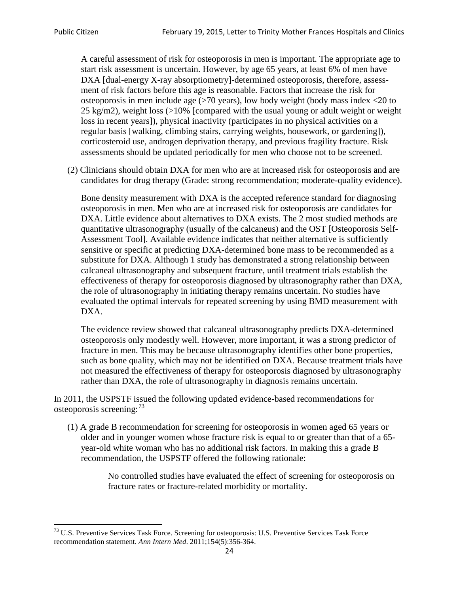A careful assessment of risk for osteoporosis in men is important. The appropriate age to start risk assessment is uncertain. However, by age 65 years, at least 6% of men have DXA [dual-energy X-ray absorptiometry]-determined osteoporosis, therefore, assessment of risk factors before this age is reasonable. Factors that increase the risk for osteoporosis in men include age (>70 years), low body weight (body mass index <20 to 25 kg/m2), weight loss  $\langle$  >10% [compared with the usual young or adult weight or weight loss in recent years]), physical inactivity (participates in no physical activities on a regular basis [walking, climbing stairs, carrying weights, housework, or gardening]), corticosteroid use, androgen deprivation therapy, and previous fragility fracture. Risk assessments should be updated periodically for men who choose not to be screened.

(2) Clinicians should obtain DXA for men who are at increased risk for osteoporosis and are candidates for drug therapy (Grade: strong recommendation; moderate-quality evidence).

Bone density measurement with DXA is the accepted reference standard for diagnosing osteoporosis in men. Men who are at increased risk for osteoporosis are candidates for DXA. Little evidence about alternatives to DXA exists. The 2 most studied methods are quantitative ultrasonography (usually of the calcaneus) and the OST [Osteoporosis Self-Assessment Tool]. Available evidence indicates that neither alternative is sufficiently sensitive or specific at predicting DXA-determined bone mass to be recommended as a substitute for DXA. Although 1 study has demonstrated a strong relationship between calcaneal ultrasonography and subsequent fracture, until treatment trials establish the effectiveness of therapy for osteoporosis diagnosed by ultrasonography rather than DXA, the role of ultrasonography in initiating therapy remains uncertain. No studies have evaluated the optimal intervals for repeated screening by using BMD measurement with DXA.

The evidence review showed that calcaneal ultrasonography predicts DXA-determined osteoporosis only modestly well. However, more important, it was a strong predictor of fracture in men. This may be because ultrasonography identifies other bone properties, such as bone quality, which may not be identified on DXA. Because treatment trials have not measured the effectiveness of therapy for osteoporosis diagnosed by ultrasonography rather than DXA, the role of ultrasonography in diagnosis remains uncertain.

In 2011, the USPSTF issued the following updated evidence-based recommendations for osteoporosis screening:<sup>[73](#page-23-0)</sup>

(1) A grade B recommendation for screening for osteoporosis in women aged 65 years or older and in younger women whose fracture risk is equal to or greater than that of a 65 year-old white woman who has no additional risk factors. In making this a grade B recommendation, the USPSTF offered the following rationale:

> No controlled studies have evaluated the effect of screening for osteoporosis on fracture rates or fracture-related morbidity or mortality.

<span id="page-23-0"></span><sup>&</sup>lt;sup>73</sup> U.S. Preventive Services Task Force. Screening for osteoporosis: U.S. Preventive Services Task Force recommendation statement. *Ann Intern Med*. 2011;154(5):356-364.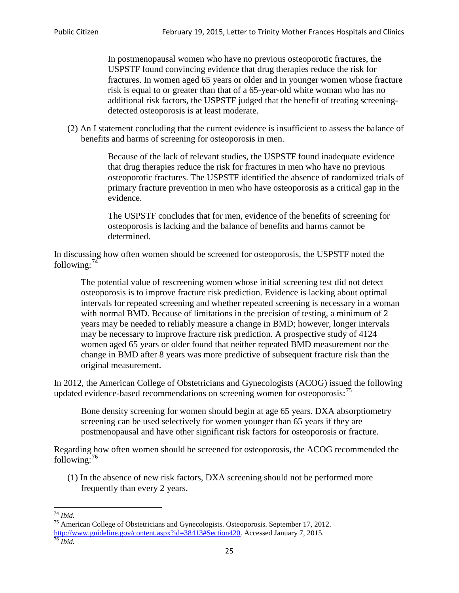In postmenopausal women who have no previous osteoporotic fractures, the USPSTF found convincing evidence that drug therapies reduce the risk for fractures. In women aged 65 years or older and in younger women whose fracture risk is equal to or greater than that of a 65-year-old white woman who has no additional risk factors, the USPSTF judged that the benefit of treating screeningdetected osteoporosis is at least moderate.

(2) An I statement concluding that the current evidence is insufficient to assess the balance of benefits and harms of screening for osteoporosis in men.

> Because of the lack of relevant studies, the USPSTF found inadequate evidence that drug therapies reduce the risk for fractures in men who have no previous osteoporotic fractures. The USPSTF identified the absence of randomized trials of primary fracture prevention in men who have osteoporosis as a critical gap in the evidence.

The USPSTF concludes that for men, evidence of the benefits of screening for osteoporosis is lacking and the balance of benefits and harms cannot be determined.

In discussing how often women should be screened for osteoporosis, the USPSTF noted the following: $74$ 

The potential value of rescreening women whose initial screening test did not detect osteoporosis is to improve fracture risk prediction. Evidence is lacking about optimal intervals for repeated screening and whether repeated screening is necessary in a woman with normal BMD. Because of limitations in the precision of testing, a minimum of 2 years may be needed to reliably measure a change in BMD; however, longer intervals may be necessary to improve fracture risk prediction. A prospective study of 4124 women aged 65 years or older found that neither repeated BMD measurement nor the change in BMD after 8 years was more predictive of subsequent fracture risk than the original measurement.

In 2012, the American College of Obstetricians and Gynecologists (ACOG) issued the following updated evidence-based recommendations on screening women for osteoporosis:<sup>[75](#page-24-1)</sup>

Bone density screening for women should begin at age 65 years. DXA absorptiometry screening can be used selectively for women younger than 65 years if they are postmenopausal and have other significant risk factors for osteoporosis or fracture.

Regarding how often women should be screened for osteoporosis, the ACOG recommended the following: $^{76}$  $^{76}$  $^{76}$ 

(1) In the absence of new risk factors, DXA screening should not be performed more frequently than every 2 years.

<span id="page-24-2"></span><span id="page-24-1"></span><span id="page-24-0"></span><sup>74</sup> *Ibid.* <sup>75</sup> American College of Obstetricians and Gynecologists. Osteoporosis. September 17, 2012. [http://www.guideline.gov/content.aspx?id=38413#Section420.](http://www.guideline.gov/content.aspx?id=38413#Section420) Accessed January 7, 2015.<br><sup>76</sup> *Ibid.*